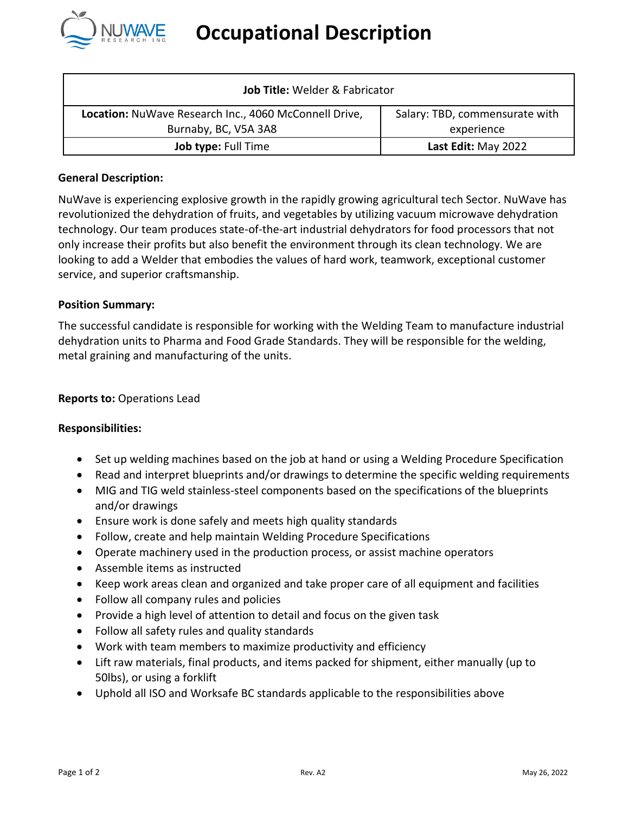

| Job Title: Welder & Fabricator                        |                                |
|-------------------------------------------------------|--------------------------------|
| Location: NuWave Research Inc., 4060 McConnell Drive, | Salary: TBD, commensurate with |
| Burnaby, BC, V5A 3A8                                  | experience                     |
| Job type: Full Time                                   | Last Edit: May 2022            |

## **General Description:**

NuWave is experiencing explosive growth in the rapidly growing agricultural tech Sector. NuWave has revolutionized the dehydration of fruits, and vegetables by utilizing vacuum microwave dehydration technology. Our team produces state-of-the-art industrial dehydrators for food processors that not only increase their profits but also benefit the environment through its clean technology. We are looking to add a Welder that embodies the values of hard work, teamwork, exceptional customer service, and superior craftsmanship.

#### **Position Summary:**

The successful candidate is responsible for working with the Welding Team to manufacture industrial dehydration units to Pharma and Food Grade Standards. They will be responsible for the welding, metal graining and manufacturing of the units.

#### **Reports to:** Operations Lead

#### **Responsibilities:**

- Set up welding machines based on the job at hand or using a Welding Procedure Specification
- Read and interpret blueprints and/or drawings to determine the specific welding requirements
- MIG and TIG weld stainless-steel components based on the specifications of the blueprints and/or drawings
- Ensure work is done safely and meets high quality standards
- Follow, create and help maintain Welding Procedure Specifications
- Operate machinery used in the production process, or assist machine operators
- Assemble items as instructed
- Keep work areas clean and organized and take proper care of all equipment and facilities
- Follow all company rules and policies
- Provide a high level of attention to detail and focus on the given task
- Follow all safety rules and quality standards
- Work with team members to maximize productivity and efficiency
- Lift raw materials, final products, and items packed for shipment, either manually (up to 50lbs), or using a forklift
- Uphold all ISO and Worksafe BC standards applicable to the responsibilities above